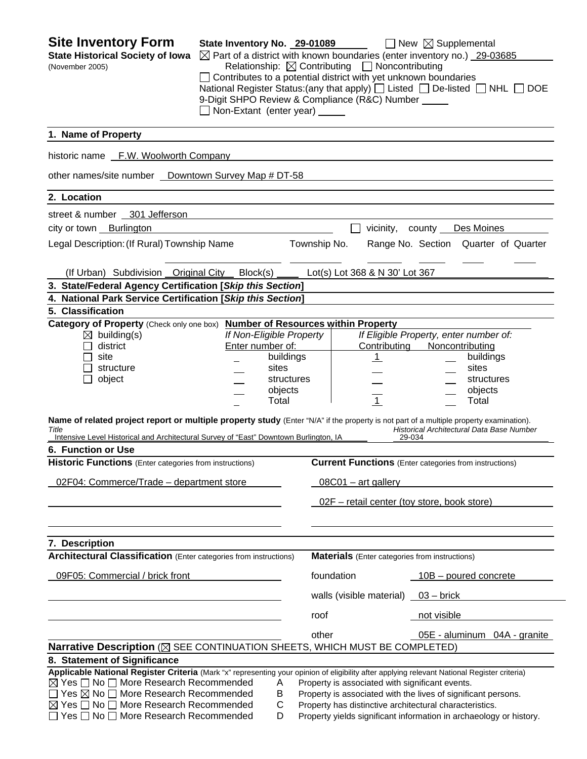| <b>Site Inventory Form</b><br><b>State Historical Society of Iowa</b><br>(November 2005)                                                                                                                                                                                                                                                                                                                         | State Inventory No. 29-01089<br>$\boxtimes$ Part of a district with known boundaries (enter inventory no.) 29-03685<br>$\Box$ Contributes to a potential district with yet unknown boundaries<br>National Register Status: (any that apply) $\Box$ Listed $\Box$ De-listed $\Box$ NHL $\Box$ DOE<br>9-Digit SHPO Review & Compliance (R&C) Number _____<br>Non-Extant (enter year) _____ |                                                      |              |            | Relationship: $\boxtimes$ Contributing $\Box$ Noncontributing | $\Box$ New $\boxtimes$ Supplemental                                                                                                                                                                                                               |                              |
|------------------------------------------------------------------------------------------------------------------------------------------------------------------------------------------------------------------------------------------------------------------------------------------------------------------------------------------------------------------------------------------------------------------|------------------------------------------------------------------------------------------------------------------------------------------------------------------------------------------------------------------------------------------------------------------------------------------------------------------------------------------------------------------------------------------|------------------------------------------------------|--------------|------------|---------------------------------------------------------------|---------------------------------------------------------------------------------------------------------------------------------------------------------------------------------------------------------------------------------------------------|------------------------------|
| 1. Name of Property                                                                                                                                                                                                                                                                                                                                                                                              |                                                                                                                                                                                                                                                                                                                                                                                          |                                                      |              |            |                                                               |                                                                                                                                                                                                                                                   |                              |
| historic name F.W. Woolworth Company                                                                                                                                                                                                                                                                                                                                                                             |                                                                                                                                                                                                                                                                                                                                                                                          |                                                      |              |            |                                                               |                                                                                                                                                                                                                                                   |                              |
| other names/site number _ Downtown Survey Map # DT-58                                                                                                                                                                                                                                                                                                                                                            |                                                                                                                                                                                                                                                                                                                                                                                          |                                                      |              |            |                                                               |                                                                                                                                                                                                                                                   |                              |
| 2. Location                                                                                                                                                                                                                                                                                                                                                                                                      |                                                                                                                                                                                                                                                                                                                                                                                          |                                                      |              |            |                                                               |                                                                                                                                                                                                                                                   |                              |
| street & number 301 Jefferson                                                                                                                                                                                                                                                                                                                                                                                    |                                                                                                                                                                                                                                                                                                                                                                                          |                                                      |              |            |                                                               |                                                                                                                                                                                                                                                   |                              |
| city or town Burlington                                                                                                                                                                                                                                                                                                                                                                                          |                                                                                                                                                                                                                                                                                                                                                                                          |                                                      |              |            | vicinity,                                                     | county Des Moines                                                                                                                                                                                                                                 |                              |
| Legal Description: (If Rural) Township Name                                                                                                                                                                                                                                                                                                                                                                      |                                                                                                                                                                                                                                                                                                                                                                                          |                                                      | Township No. |            |                                                               | Range No. Section Quarter of Quarter                                                                                                                                                                                                              |                              |
| (If Urban) Subdivision Original City                                                                                                                                                                                                                                                                                                                                                                             | Block(s)                                                                                                                                                                                                                                                                                                                                                                                 |                                                      |              |            | Lot(s) Lot 368 & N 30' Lot 367                                |                                                                                                                                                                                                                                                   |                              |
| 3. State/Federal Agency Certification [Skip this Section]                                                                                                                                                                                                                                                                                                                                                        |                                                                                                                                                                                                                                                                                                                                                                                          |                                                      |              |            |                                                               |                                                                                                                                                                                                                                                   |                              |
| 4. National Park Service Certification [Skip this Section]                                                                                                                                                                                                                                                                                                                                                       |                                                                                                                                                                                                                                                                                                                                                                                          |                                                      |              |            |                                                               |                                                                                                                                                                                                                                                   |                              |
| 5. Classification<br>Category of Property (Check only one box)                                                                                                                                                                                                                                                                                                                                                   | <b>Number of Resources within Property</b>                                                                                                                                                                                                                                                                                                                                               |                                                      |              |            |                                                               |                                                                                                                                                                                                                                                   |                              |
| $\boxtimes$ building(s)<br>district<br>site<br>structure<br>object<br>Name of related project report or multiple property study (Enter "N/A" if the property is not part of a multiple property examination).<br>Title<br>Intensive Level Historical and Architectural Survey of "East" Downtown Burlington, IA                                                                                                  | If Non-Eligible Property<br>Enter number of:                                                                                                                                                                                                                                                                                                                                             | buildings<br>sites<br>structures<br>objects<br>Total |              |            | Contributing<br><u>_1</u><br>$\mathbf{1}$<br>29-034           | If Eligible Property, enter number of:<br>Noncontributing<br>sites<br>objects<br>Total<br>Historical Architectural Data Base Number                                                                                                               | buildings<br>structures      |
| 6. Function or Use                                                                                                                                                                                                                                                                                                                                                                                               |                                                                                                                                                                                                                                                                                                                                                                                          |                                                      |              |            |                                                               |                                                                                                                                                                                                                                                   |                              |
| Historic Functions (Enter categories from instructions)                                                                                                                                                                                                                                                                                                                                                          |                                                                                                                                                                                                                                                                                                                                                                                          |                                                      |              |            |                                                               | <b>Current Functions</b> (Enter categories from instructions)                                                                                                                                                                                     |                              |
| 02F04: Commerce/Trade - department store                                                                                                                                                                                                                                                                                                                                                                         |                                                                                                                                                                                                                                                                                                                                                                                          |                                                      |              |            | $08C01 - art$ gallery                                         |                                                                                                                                                                                                                                                   |                              |
|                                                                                                                                                                                                                                                                                                                                                                                                                  |                                                                                                                                                                                                                                                                                                                                                                                          |                                                      |              |            |                                                               | 02F - retail center (toy store, book store)                                                                                                                                                                                                       |                              |
| 7. Description                                                                                                                                                                                                                                                                                                                                                                                                   |                                                                                                                                                                                                                                                                                                                                                                                          |                                                      |              |            |                                                               |                                                                                                                                                                                                                                                   |                              |
| <b>Architectural Classification</b> (Enter categories from instructions)                                                                                                                                                                                                                                                                                                                                         |                                                                                                                                                                                                                                                                                                                                                                                          |                                                      |              |            |                                                               | <b>Materials</b> (Enter categories from instructions)                                                                                                                                                                                             |                              |
| 09F05: Commercial / brick front                                                                                                                                                                                                                                                                                                                                                                                  |                                                                                                                                                                                                                                                                                                                                                                                          |                                                      |              | foundation |                                                               | 10B - poured concrete                                                                                                                                                                                                                             |                              |
|                                                                                                                                                                                                                                                                                                                                                                                                                  |                                                                                                                                                                                                                                                                                                                                                                                          |                                                      |              |            | walls (visible material)                                      | $03 -$ brick                                                                                                                                                                                                                                      |                              |
|                                                                                                                                                                                                                                                                                                                                                                                                                  |                                                                                                                                                                                                                                                                                                                                                                                          |                                                      | roof         |            |                                                               | not visible                                                                                                                                                                                                                                       |                              |
|                                                                                                                                                                                                                                                                                                                                                                                                                  |                                                                                                                                                                                                                                                                                                                                                                                          |                                                      | other        |            |                                                               |                                                                                                                                                                                                                                                   | 05E - aluminum 04A - granite |
| Narrative Description (X SEE CONTINUATION SHEETS, WHICH MUST BE COMPLETED)                                                                                                                                                                                                                                                                                                                                       |                                                                                                                                                                                                                                                                                                                                                                                          |                                                      |              |            |                                                               |                                                                                                                                                                                                                                                   |                              |
| 8. Statement of Significance<br>Applicable National Register Criteria (Mark "x" representing your opinion of eligibility after applying relevant National Register criteria)<br>$\boxtimes$ Yes $\Box$ No $\Box$ More Research Recommended<br>$\Box$ Yes $\boxtimes$ No $\Box$ More Research Recommended<br>$\boxtimes$ Yes $\Box$ No $\Box$ More Research Recommended<br>□ Yes □ No □ More Research Recommended |                                                                                                                                                                                                                                                                                                                                                                                          | Α<br>B<br>C<br>D                                     |              |            |                                                               | Property is associated with significant events.<br>Property is associated with the lives of significant persons.<br>Property has distinctive architectural characteristics.<br>Property yields significant information in archaeology or history. |                              |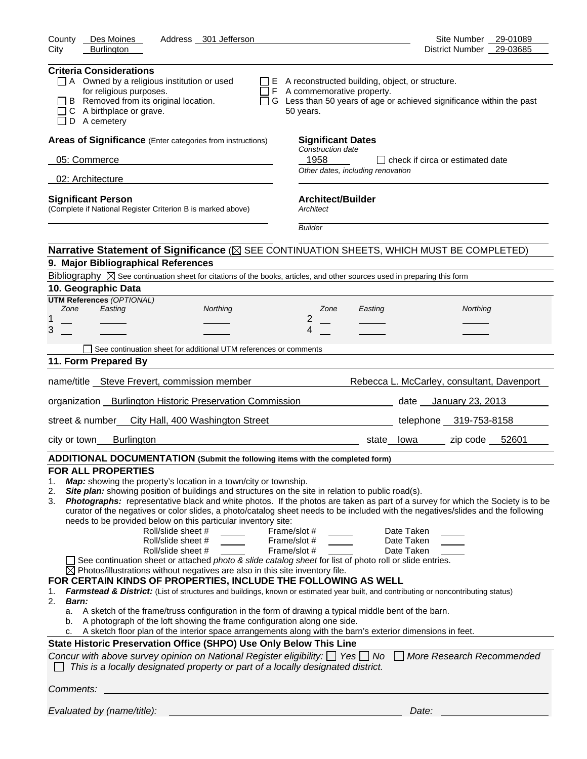| County<br>Des Moines<br>Address 301 Jefferson                                                                                                                                                                                                                                                                                                                                                                                                                                                                                                                                                                                                                                                                                                                                                                                                                                                                                                                                                                                                                                                                                                                                                                                       | Site Number 29-01089                                                                                                                                                                                                                                                                                                                                                                                                                                                                                                             |
|-------------------------------------------------------------------------------------------------------------------------------------------------------------------------------------------------------------------------------------------------------------------------------------------------------------------------------------------------------------------------------------------------------------------------------------------------------------------------------------------------------------------------------------------------------------------------------------------------------------------------------------------------------------------------------------------------------------------------------------------------------------------------------------------------------------------------------------------------------------------------------------------------------------------------------------------------------------------------------------------------------------------------------------------------------------------------------------------------------------------------------------------------------------------------------------------------------------------------------------|----------------------------------------------------------------------------------------------------------------------------------------------------------------------------------------------------------------------------------------------------------------------------------------------------------------------------------------------------------------------------------------------------------------------------------------------------------------------------------------------------------------------------------|
| City<br><b>Burlington</b>                                                                                                                                                                                                                                                                                                                                                                                                                                                                                                                                                                                                                                                                                                                                                                                                                                                                                                                                                                                                                                                                                                                                                                                                           | District Number 29-03685                                                                                                                                                                                                                                                                                                                                                                                                                                                                                                         |
| <b>Criteria Considerations</b><br>$\Box$ A Owned by a religious institution or used<br>for religious purposes.<br>B Removed from its original location.<br>C A birthplace or grave.<br>D A cemetery                                                                                                                                                                                                                                                                                                                                                                                                                                                                                                                                                                                                                                                                                                                                                                                                                                                                                                                                                                                                                                 | $\Box$ E A reconstructed building, object, or structure.<br>$\Box$ F A commemorative property.<br>□ G Less than 50 years of age or achieved significance within the past<br>50 years.                                                                                                                                                                                                                                                                                                                                            |
| Areas of Significance (Enter categories from instructions)                                                                                                                                                                                                                                                                                                                                                                                                                                                                                                                                                                                                                                                                                                                                                                                                                                                                                                                                                                                                                                                                                                                                                                          | <b>Significant Dates</b>                                                                                                                                                                                                                                                                                                                                                                                                                                                                                                         |
| 05: Commerce                                                                                                                                                                                                                                                                                                                                                                                                                                                                                                                                                                                                                                                                                                                                                                                                                                                                                                                                                                                                                                                                                                                                                                                                                        | Construction date<br>1958<br>□ check if circa or estimated date                                                                                                                                                                                                                                                                                                                                                                                                                                                                  |
| 02: Architecture                                                                                                                                                                                                                                                                                                                                                                                                                                                                                                                                                                                                                                                                                                                                                                                                                                                                                                                                                                                                                                                                                                                                                                                                                    | Other dates, including renovation                                                                                                                                                                                                                                                                                                                                                                                                                                                                                                |
| <b>Significant Person</b>                                                                                                                                                                                                                                                                                                                                                                                                                                                                                                                                                                                                                                                                                                                                                                                                                                                                                                                                                                                                                                                                                                                                                                                                           | <b>Architect/Builder</b>                                                                                                                                                                                                                                                                                                                                                                                                                                                                                                         |
| (Complete if National Register Criterion B is marked above)                                                                                                                                                                                                                                                                                                                                                                                                                                                                                                                                                                                                                                                                                                                                                                                                                                                                                                                                                                                                                                                                                                                                                                         | Architect                                                                                                                                                                                                                                                                                                                                                                                                                                                                                                                        |
|                                                                                                                                                                                                                                                                                                                                                                                                                                                                                                                                                                                                                                                                                                                                                                                                                                                                                                                                                                                                                                                                                                                                                                                                                                     | <b>Builder</b>                                                                                                                                                                                                                                                                                                                                                                                                                                                                                                                   |
|                                                                                                                                                                                                                                                                                                                                                                                                                                                                                                                                                                                                                                                                                                                                                                                                                                                                                                                                                                                                                                                                                                                                                                                                                                     | Narrative Statement of Significance ( $\boxtimes$ SEE CONTINUATION SHEETS, WHICH MUST BE COMPLETED)                                                                                                                                                                                                                                                                                                                                                                                                                              |
| 9. Major Bibliographical References                                                                                                                                                                                                                                                                                                                                                                                                                                                                                                                                                                                                                                                                                                                                                                                                                                                                                                                                                                                                                                                                                                                                                                                                 |                                                                                                                                                                                                                                                                                                                                                                                                                                                                                                                                  |
| Bibliography $\boxtimes$ See continuation sheet for citations of the books, articles, and other sources used in preparing this form                                                                                                                                                                                                                                                                                                                                                                                                                                                                                                                                                                                                                                                                                                                                                                                                                                                                                                                                                                                                                                                                                                 |                                                                                                                                                                                                                                                                                                                                                                                                                                                                                                                                  |
| 10. Geographic Data                                                                                                                                                                                                                                                                                                                                                                                                                                                                                                                                                                                                                                                                                                                                                                                                                                                                                                                                                                                                                                                                                                                                                                                                                 |                                                                                                                                                                                                                                                                                                                                                                                                                                                                                                                                  |
| <b>UTM References (OPTIONAL)</b>                                                                                                                                                                                                                                                                                                                                                                                                                                                                                                                                                                                                                                                                                                                                                                                                                                                                                                                                                                                                                                                                                                                                                                                                    |                                                                                                                                                                                                                                                                                                                                                                                                                                                                                                                                  |
| Zone<br>Easting<br>Northing<br>1                                                                                                                                                                                                                                                                                                                                                                                                                                                                                                                                                                                                                                                                                                                                                                                                                                                                                                                                                                                                                                                                                                                                                                                                    | Northing<br>Zone<br>Easting<br>2                                                                                                                                                                                                                                                                                                                                                                                                                                                                                                 |
| 3                                                                                                                                                                                                                                                                                                                                                                                                                                                                                                                                                                                                                                                                                                                                                                                                                                                                                                                                                                                                                                                                                                                                                                                                                                   | 4                                                                                                                                                                                                                                                                                                                                                                                                                                                                                                                                |
| See continuation sheet for additional UTM references or comments                                                                                                                                                                                                                                                                                                                                                                                                                                                                                                                                                                                                                                                                                                                                                                                                                                                                                                                                                                                                                                                                                                                                                                    |                                                                                                                                                                                                                                                                                                                                                                                                                                                                                                                                  |
| 11. Form Prepared By                                                                                                                                                                                                                                                                                                                                                                                                                                                                                                                                                                                                                                                                                                                                                                                                                                                                                                                                                                                                                                                                                                                                                                                                                |                                                                                                                                                                                                                                                                                                                                                                                                                                                                                                                                  |
|                                                                                                                                                                                                                                                                                                                                                                                                                                                                                                                                                                                                                                                                                                                                                                                                                                                                                                                                                                                                                                                                                                                                                                                                                                     |                                                                                                                                                                                                                                                                                                                                                                                                                                                                                                                                  |
| name/title Steve Frevert, commission member                                                                                                                                                                                                                                                                                                                                                                                                                                                                                                                                                                                                                                                                                                                                                                                                                                                                                                                                                                                                                                                                                                                                                                                         | Rebecca L. McCarley, consultant, Davenport                                                                                                                                                                                                                                                                                                                                                                                                                                                                                       |
| organization Burlington Historic Preservation Commission                                                                                                                                                                                                                                                                                                                                                                                                                                                                                                                                                                                                                                                                                                                                                                                                                                                                                                                                                                                                                                                                                                                                                                            | date January 23, 2013                                                                                                                                                                                                                                                                                                                                                                                                                                                                                                            |
| street & number<br>City Hall, 400 Washington Street                                                                                                                                                                                                                                                                                                                                                                                                                                                                                                                                                                                                                                                                                                                                                                                                                                                                                                                                                                                                                                                                                                                                                                                 | telephone 319-753-8158                                                                                                                                                                                                                                                                                                                                                                                                                                                                                                           |
| <b>Burlington</b><br>city or town                                                                                                                                                                                                                                                                                                                                                                                                                                                                                                                                                                                                                                                                                                                                                                                                                                                                                                                                                                                                                                                                                                                                                                                                   | zip code 52601<br>state lowa                                                                                                                                                                                                                                                                                                                                                                                                                                                                                                     |
| ADDITIONAL DOCUMENTATION (Submit the following items with the completed form)                                                                                                                                                                                                                                                                                                                                                                                                                                                                                                                                                                                                                                                                                                                                                                                                                                                                                                                                                                                                                                                                                                                                                       |                                                                                                                                                                                                                                                                                                                                                                                                                                                                                                                                  |
| <b>FOR ALL PROPERTIES</b><br>Map: showing the property's location in a town/city or township.<br>1.<br>Site plan: showing position of buildings and structures on the site in relation to public road(s).<br>2.<br>3.<br>needs to be provided below on this particular inventory site:<br>Roll/slide sheet #<br>Roll/slide sheet #<br>Roll/slide sheet #<br>See continuation sheet or attached photo & slide catalog sheet for list of photo roll or slide entries.<br>$\boxtimes$ Photos/illustrations without negatives are also in this site inventory file.<br>FOR CERTAIN KINDS OF PROPERTIES, INCLUDE THE FOLLOWING AS WELL<br>1.<br>2.<br><b>Barn:</b><br>A sketch of the frame/truss configuration in the form of drawing a typical middle bent of the barn.<br>a.<br>A photograph of the loft showing the frame configuration along one side.<br>b.<br>A sketch floor plan of the interior space arrangements along with the barn's exterior dimensions in feet.<br>c.<br>State Historic Preservation Office (SHPO) Use Only Below This Line<br>Concur with above survey opinion on National Register eligibility: $\Box$ Yes $\Box$ No<br>This is a locally designated property or part of a locally designated district. | Photographs: representative black and white photos. If the photos are taken as part of a survey for which the Society is to be<br>curator of the negatives or color slides, a photo/catalog sheet needs to be included with the negatives/slides and the following<br>Frame/slot #<br>Date Taken<br>Frame/slot #<br>Date Taken<br>Frame/slot #<br>Date Taken<br>Farmstead & District: (List of structures and buildings, known or estimated year built, and contributing or noncontributing status)<br>More Research Recommended |
| Comments:                                                                                                                                                                                                                                                                                                                                                                                                                                                                                                                                                                                                                                                                                                                                                                                                                                                                                                                                                                                                                                                                                                                                                                                                                           |                                                                                                                                                                                                                                                                                                                                                                                                                                                                                                                                  |
| Evaluated by (name/title):                                                                                                                                                                                                                                                                                                                                                                                                                                                                                                                                                                                                                                                                                                                                                                                                                                                                                                                                                                                                                                                                                                                                                                                                          | Date:                                                                                                                                                                                                                                                                                                                                                                                                                                                                                                                            |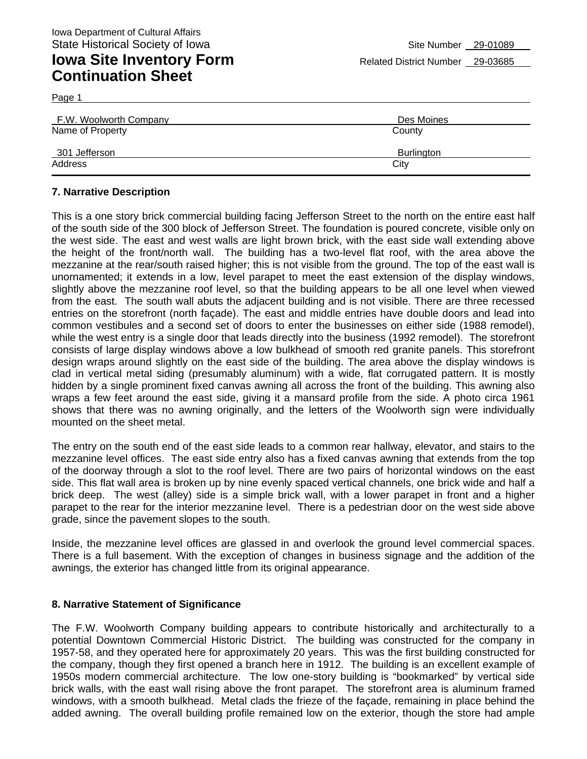| F.W. Woolworth Company | Des Moines |
|------------------------|------------|
| Name of Property       | County     |
| 301 Jefferson          | Burlington |
| Address                | City       |

#### **7. Narrative Description**

This is a one story brick commercial building facing Jefferson Street to the north on the entire east half of the south side of the 300 block of Jefferson Street. The foundation is poured concrete, visible only on the west side. The east and west walls are light brown brick, with the east side wall extending above the height of the front/north wall. The building has a two-level flat roof, with the area above the mezzanine at the rear/south raised higher; this is not visible from the ground. The top of the east wall is unornamented; it extends in a low, level parapet to meet the east extension of the display windows, slightly above the mezzanine roof level, so that the building appears to be all one level when viewed from the east. The south wall abuts the adjacent building and is not visible. There are three recessed entries on the storefront (north façade). The east and middle entries have double doors and lead into common vestibules and a second set of doors to enter the businesses on either side (1988 remodel), while the west entry is a single door that leads directly into the business (1992 remodel). The storefront consists of large display windows above a low bulkhead of smooth red granite panels. This storefront design wraps around slightly on the east side of the building. The area above the display windows is clad in vertical metal siding (presumably aluminum) with a wide, flat corrugated pattern. It is mostly hidden by a single prominent fixed canvas awning all across the front of the building. This awning also wraps a few feet around the east side, giving it a mansard profile from the side. A photo circa 1961 shows that there was no awning originally, and the letters of the Woolworth sign were individually mounted on the sheet metal.

The entry on the south end of the east side leads to a common rear hallway, elevator, and stairs to the mezzanine level offices. The east side entry also has a fixed canvas awning that extends from the top of the doorway through a slot to the roof level. There are two pairs of horizontal windows on the east side. This flat wall area is broken up by nine evenly spaced vertical channels, one brick wide and half a brick deep. The west (alley) side is a simple brick wall, with a lower parapet in front and a higher parapet to the rear for the interior mezzanine level. There is a pedestrian door on the west side above grade, since the pavement slopes to the south.

Inside, the mezzanine level offices are glassed in and overlook the ground level commercial spaces. There is a full basement. With the exception of changes in business signage and the addition of the awnings, the exterior has changed little from its original appearance.

#### **8. Narrative Statement of Significance**

The F.W. Woolworth Company building appears to contribute historically and architecturally to a potential Downtown Commercial Historic District. The building was constructed for the company in 1957-58, and they operated here for approximately 20 years. This was the first building constructed for the company, though they first opened a branch here in 1912. The building is an excellent example of 1950s modern commercial architecture. The low one-story building is "bookmarked" by vertical side brick walls, with the east wall rising above the front parapet. The storefront area is aluminum framed windows, with a smooth bulkhead. Metal clads the frieze of the façade, remaining in place behind the added awning. The overall building profile remained low on the exterior, though the store had ample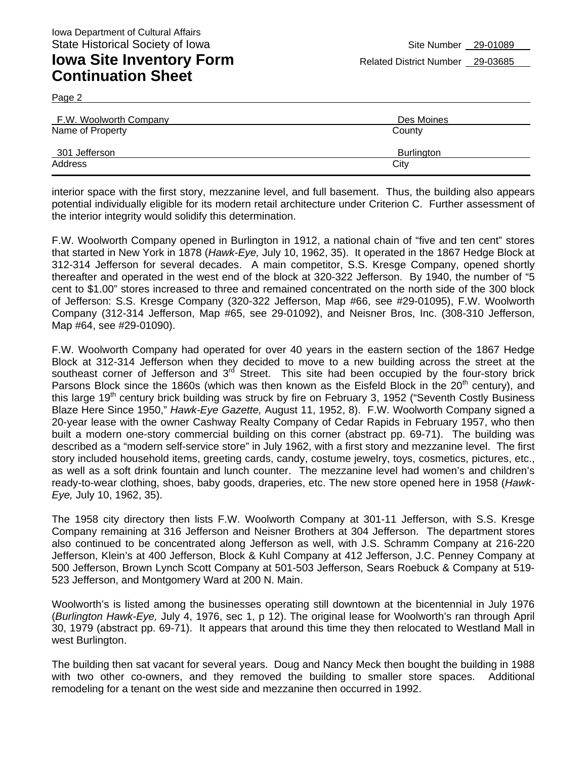Page 2

| F.W. Woolworth Company | Des Moines        |
|------------------------|-------------------|
| Name of Property       | County            |
| 301 Jefferson          | <b>Burlington</b> |
| Address                | City              |

interior space with the first story, mezzanine level, and full basement. Thus, the building also appears potential individually eligible for its modern retail architecture under Criterion C. Further assessment of the interior integrity would solidify this determination.

F.W. Woolworth Company opened in Burlington in 1912, a national chain of "five and ten cent" stores that started in New York in 1878 (*Hawk-Eye,* July 10, 1962, 35). It operated in the 1867 Hedge Block at 312-314 Jefferson for several decades. A main competitor, S.S. Kresge Company, opened shortly thereafter and operated in the west end of the block at 320-322 Jefferson. By 1940, the number of "5 cent to \$1.00" stores increased to three and remained concentrated on the north side of the 300 block of Jefferson: S.S. Kresge Company (320-322 Jefferson, Map #66, see #29-01095), F.W. Woolworth Company (312-314 Jefferson, Map #65, see 29-01092), and Neisner Bros, Inc. (308-310 Jefferson, Map #64, see #29-01090).

F.W. Woolworth Company had operated for over 40 years in the eastern section of the 1867 Hedge Block at 312-314 Jefferson when they decided to move to a new building across the street at the southeast corner of Jefferson and  $3<sup>rd</sup>$  Street. This site had been occupied by the four-story brick Parsons Block since the 1860s (which was then known as the Eisfeld Block in the 20<sup>th</sup> century), and this large 19<sup>th</sup> century brick building was struck by fire on February 3, 1952 ("Seventh Costly Business Blaze Here Since 1950," *Hawk-Eye Gazette,* August 11, 1952, 8). F.W. Woolworth Company signed a 20-year lease with the owner Cashway Realty Company of Cedar Rapids in February 1957, who then built a modern one-story commercial building on this corner (abstract pp. 69-71). The building was described as a "modern self-service store" in July 1962, with a first story and mezzanine level. The first story included household items, greeting cards, candy, costume jewelry, toys, cosmetics, pictures, etc., as well as a soft drink fountain and lunch counter. The mezzanine level had women's and children's ready-to-wear clothing, shoes, baby goods, draperies, etc. The new store opened here in 1958 (*Hawk-Eye,* July 10, 1962, 35).

The 1958 city directory then lists F.W. Woolworth Company at 301-11 Jefferson, with S.S. Kresge Company remaining at 316 Jefferson and Neisner Brothers at 304 Jefferson. The department stores also continued to be concentrated along Jefferson as well, with J.S. Schramm Company at 216-220 Jefferson, Klein's at 400 Jefferson, Block & Kuhl Company at 412 Jefferson, J.C. Penney Company at 500 Jefferson, Brown Lynch Scott Company at 501-503 Jefferson, Sears Roebuck & Company at 519- 523 Jefferson, and Montgomery Ward at 200 N. Main.

Woolworth's is listed among the businesses operating still downtown at the bicentennial in July 1976 (*Burlington Hawk-Eye,* July 4, 1976, sec 1, p 12). The original lease for Woolworth's ran through April 30, 1979 (abstract pp. 69-71). It appears that around this time they then relocated to Westland Mall in west Burlington.

The building then sat vacant for several years. Doug and Nancy Meck then bought the building in 1988 with two other co-owners, and they removed the building to smaller store spaces. Additional remodeling for a tenant on the west side and mezzanine then occurred in 1992.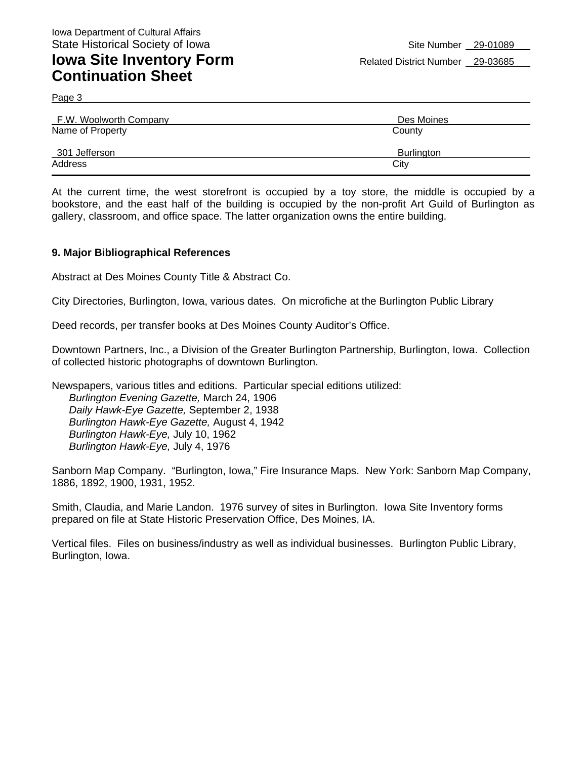Page 3

| F.W. Woolworth Company | Des Moines |
|------------------------|------------|
| Name of Property       | County     |
| 301 Jefferson          | Burlington |
| Address                | City       |

At the current time, the west storefront is occupied by a toy store, the middle is occupied by a bookstore, and the east half of the building is occupied by the non-profit Art Guild of Burlington as gallery, classroom, and office space. The latter organization owns the entire building.

#### **9. Major Bibliographical References**

Abstract at Des Moines County Title & Abstract Co.

City Directories, Burlington, Iowa, various dates. On microfiche at the Burlington Public Library

Deed records, per transfer books at Des Moines County Auditor's Office.

Downtown Partners, Inc., a Division of the Greater Burlington Partnership, Burlington, Iowa. Collection of collected historic photographs of downtown Burlington.

Newspapers, various titles and editions. Particular special editions utilized: *Burlington Evening Gazette,* March 24, 1906 *Daily Hawk-Eye Gazette,* September 2, 1938 *Burlington Hawk-Eye Gazette,* August 4, 1942 *Burlington Hawk-Eye,* July 10, 1962 *Burlington Hawk-Eye,* July 4, 1976

Sanborn Map Company. "Burlington, Iowa," Fire Insurance Maps. New York: Sanborn Map Company, 1886, 1892, 1900, 1931, 1952.

Smith, Claudia, and Marie Landon. 1976 survey of sites in Burlington. Iowa Site Inventory forms prepared on file at State Historic Preservation Office, Des Moines, IA.

Vertical files. Files on business/industry as well as individual businesses. Burlington Public Library, Burlington, Iowa.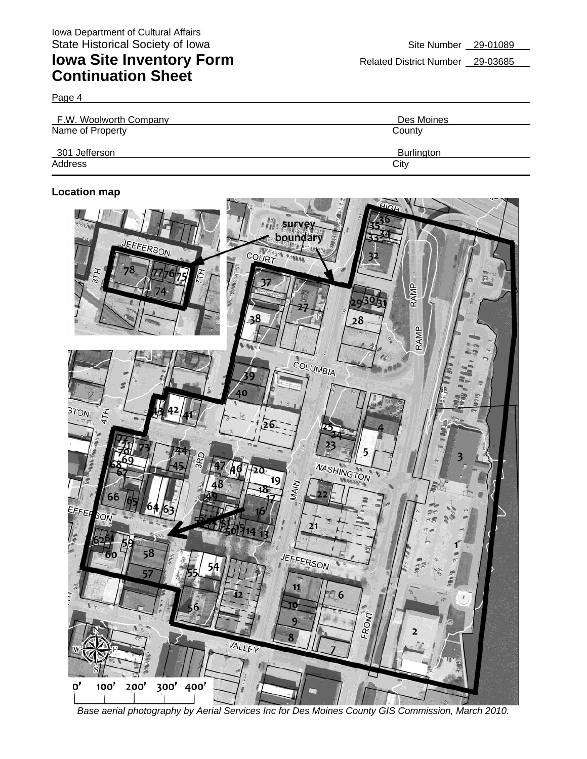Page 4

| F.W. Woolworth Company | Des Moines        |
|------------------------|-------------------|
| Name of Property       | County            |
| 301 Jefferson          | <b>Burlington</b> |
| Address                | City              |

#### **Location map**



*Base aerial photography by Aerial Services Inc for Des Moines County GIS Commission, March 2010.*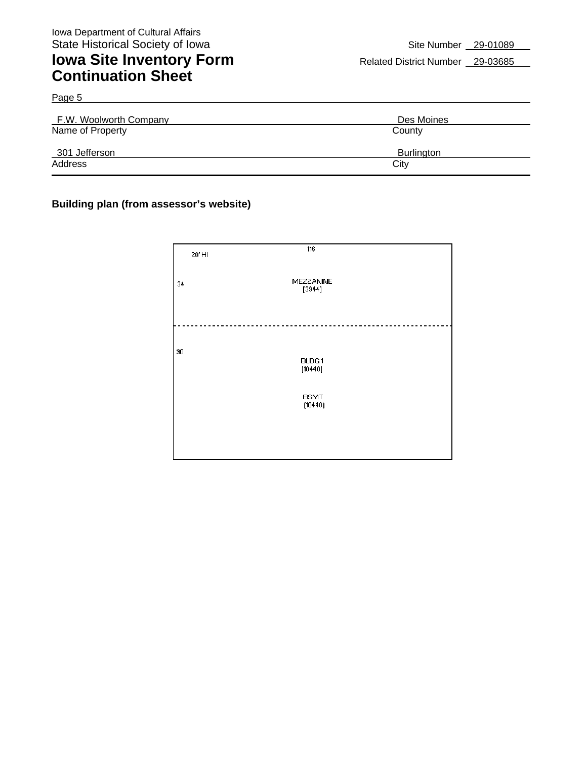Page 5

## **Iowa Site Inventory Form** Related District Number 29-03685 **Continuation Sheet**

| F.W. Woolworth Company | Des Moines        |
|------------------------|-------------------|
| Name of Property       | County            |
| 301 Jefferson          | <b>Burlington</b> |
| Address                | City              |

#### **Building plan (from assessor's website)**

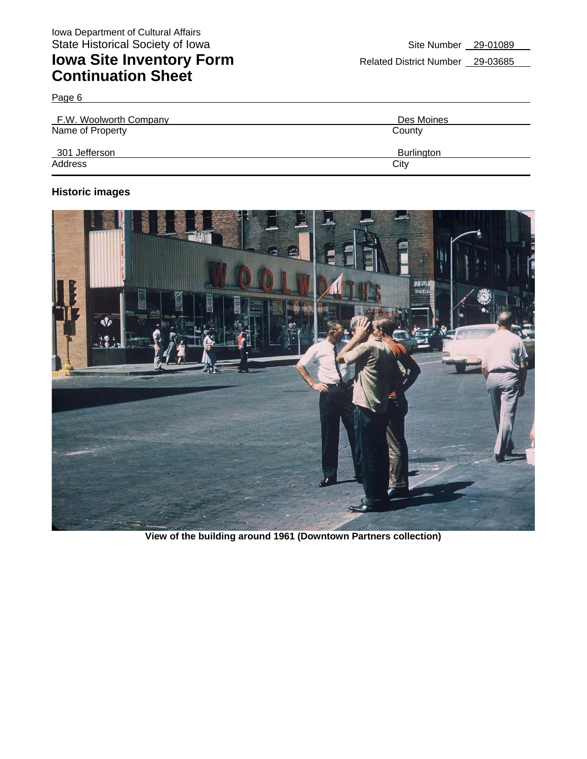Page 6

| F.W. Woolworth Company | Des Moines        |
|------------------------|-------------------|
| Name of Property       | County            |
| 301 Jefferson          | <b>Burlington</b> |
| Address                | City              |

#### **Historic images**



**View of the building around 1961 (Downtown Partners collection)**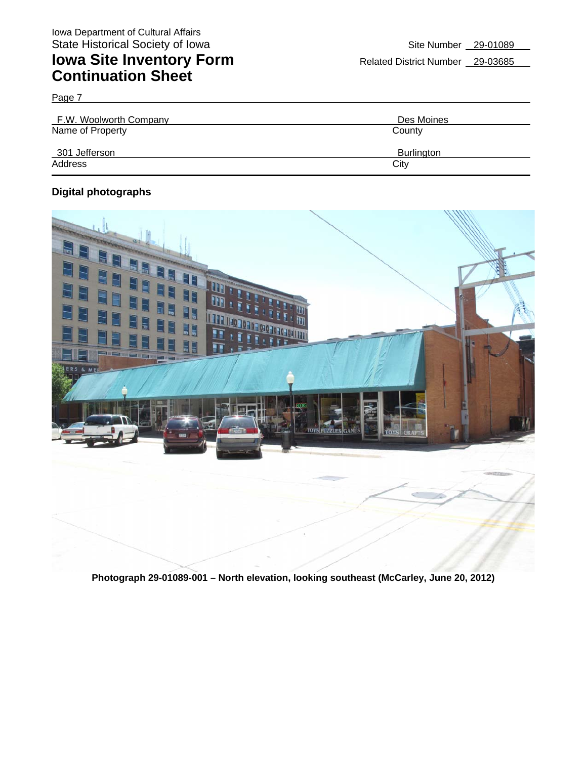| F.W. Woolworth Company | Des Moines        |
|------------------------|-------------------|
| Name of Property       | County            |
| 301 Jefferson          | <b>Burlington</b> |
| Address                | City              |

#### **Digital photographs**

Page 7



**Photograph 29-01089-001 – North elevation, looking southeast (McCarley, June 20, 2012)**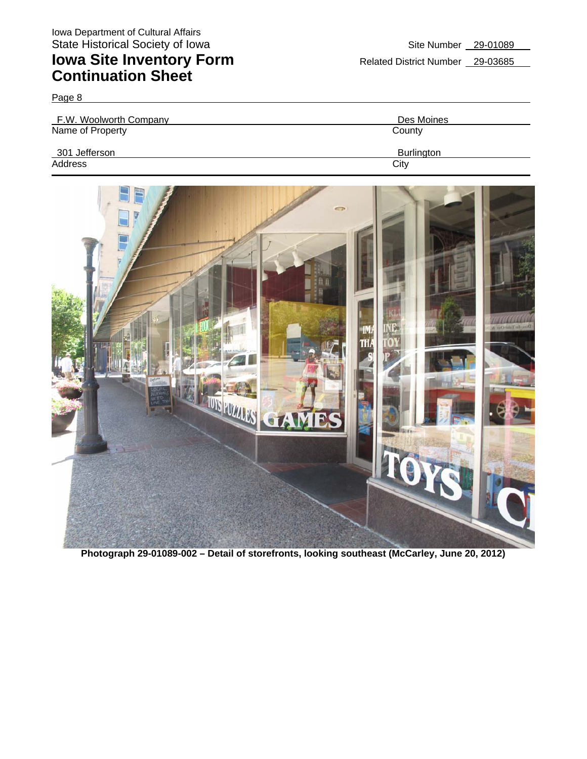Page 8

| F.W. Woolworth Company | Des Moines |
|------------------------|------------|
| Name of Property       | County     |
| 301 Jefferson          | Burlington |
| Address                | City       |



**Photograph 29-01089-002 – Detail of storefronts, looking southeast (McCarley, June 20, 2012)**